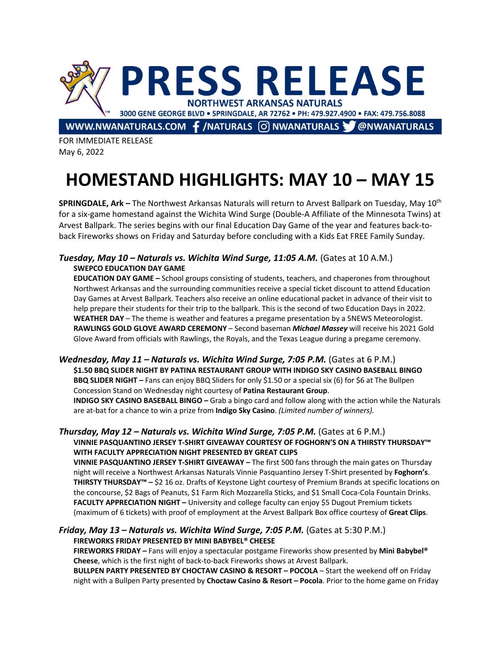

FOR IMMEDIATE RELEASE May 6, 2022

# **HOMESTAND HIGHLIGHTS: MAY 10 – MAY 15**

**SPRINGDALE, Ark –** The Northwest Arkansas Naturals will return to Arvest Ballpark on Tuesday, May 10th for a six-game homestand against the Wichita Wind Surge (Double-A Affiliate of the Minnesota Twins) at Arvest Ballpark. The series begins with our final Education Day Game of the year and features back-toback Fireworks shows on Friday and Saturday before concluding with a Kids Eat FREE Family Sunday.

## *Tuesday, May 10 – Naturals vs. Wichita Wind Surge, 11:05 A.M.* (Gates at 10 A.M.) **SWEPCO EDUCATION DAY GAME**

**EDUCATION DAY GAME –** School groups consisting of students, teachers, and chaperones from throughout Northwest Arkansas and the surrounding communities receive a special ticket discount to attend Education Day Games at Arvest Ballpark. Teachers also receive an online educational packet in advance of their visit to help prepare their students for their trip to the ballpark. This is the second of two Education Days in 2022. **WEATHER DAY** – The theme is weather and features a pregame presentation by a 5NEWS Meteorologist. **RAWLINGS GOLD GLOVE AWARD CEREMONY** – Second baseman *Michael Massey* will receive his 2021 Gold Glove Award from officials with Rawlings, the Royals, and the Texas League during a pregame ceremony.

*Wednesday, May 11 – Naturals vs. Wichita Wind Surge, 7:05 P.M.* (Gates at 6 P.M.) **\$1.50 BBQ SLIDER NIGHT BY PATINA RESTAURANT GROUP WITH INDIGO SKY CASINO BASEBALL BINGO BBQ SLIDER NIGHT –** Fans can enjoy BBQ Sliders for only \$1.50 or a special six (6) for \$6 at The Bullpen Concession Stand on Wednesday night courtesy of **Patina Restaurant Group**. **INDIGO SKY CASINO BASEBALL BINGO –** Grab a bingo card and follow along with the action while the Naturals are at-bat for a chance to win a prize from **Indigo Sky Casino**. *(Limited number of winners).*

#### *Thursday, May 12 – Naturals vs. Wichita Wind Surge, 7:05 P.M.* (Gates at 6 P.M.) **VINNIE PASQUANTINO JERSEY T-SHIRT GIVEAWAY COURTESY OF FOGHORN'S ON A THIRSTY THURSDAY™ WITH FACULTY APPRECIATION NIGHT PRESENTED BY GREAT CLIPS**

**VINNIE PASQUANTINO JERSEY T-SHIRT GIVEAWAY –** The first 500 fans through the main gates on Thursday night will receive a Northwest Arkansas Naturals Vinnie Pasquantino Jersey T-Shirt presented by **Foghorn's**. **THIRSTY THURSDAY™ –** \$2 16 oz. Drafts of Keystone Light courtesy of Premium Brands at specific locations on the concourse, \$2 Bags of Peanuts, \$1 Farm Rich Mozzarella Sticks, and \$1 Small Coca-Cola Fountain Drinks. **FACULTY APPRECIATION NIGHT –** University and college faculty can enjoy \$5 Dugout Premium tickets (maximum of 6 tickets) with proof of employment at the Arvest Ballpark Box office courtesy of **Great Clips**.

### *Friday, May 13 – Naturals vs. Wichita Wind Surge, 7:05 P.M.* (Gates at 5:30 P.M.) **FIREWORKS FRIDAY PRESENTED BY MINI BABYBEL® CHEESE**

**FIREWORKS FRIDAY –** Fans will enjoy a spectacular postgame Fireworks show presented by **Mini Babybel® Cheese**, which is the first night of back-to-back Fireworks shows at Arvest Ballpark.

**BULLPEN PARTY PRESENTED BY CHOCTAW CASINO & RESORT – POCOLA** – Start the weekend off on Friday night with a Bullpen Party presented by **Choctaw Casino & Resort – Pocola**. Prior to the home game on Friday